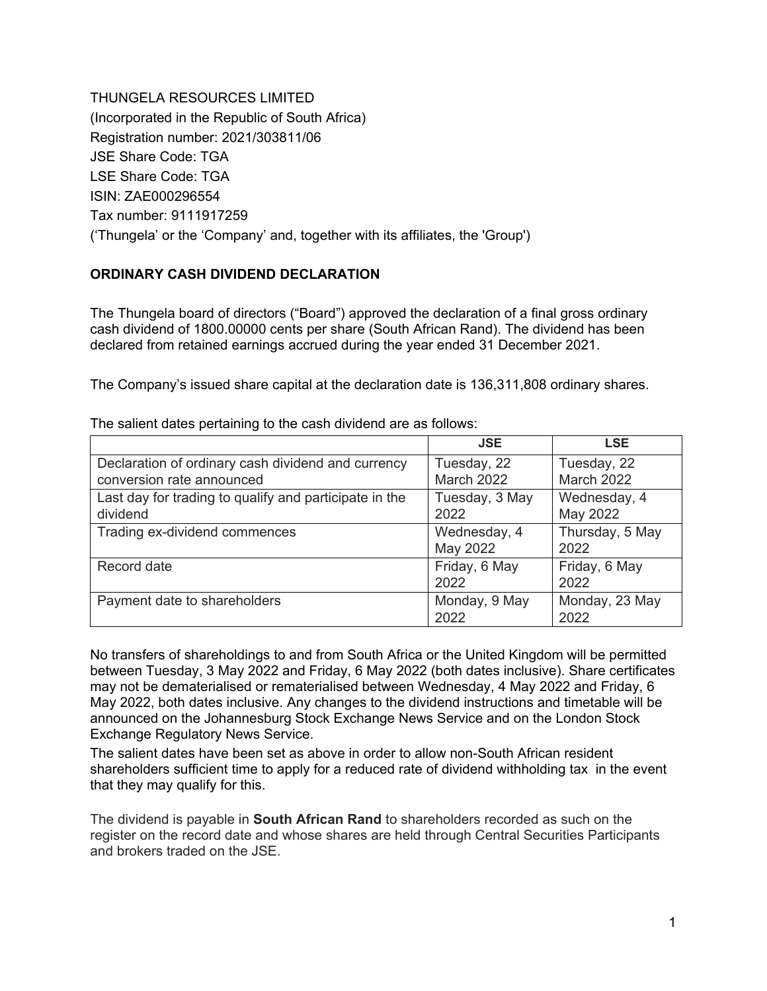THUNGELA RESOURCES LIMITED (Incorporated in the Republic of South Africa) Registration number: 2021/303811/06 JSE Share Code: TGA LSE Share Code: TGA ISIN: ZAE000296554 Tax number: 9111917259 ('Thungela' or the 'Company' and, together with its affiliates, the 'Group')

## **ORDINARY CASH DIVIDEND DECLARATION**

The Thungela board of directors ("Board") approved the declaration of a final gross ordinary cash dividend of 1800.00000 cents per share (South African Rand). The dividend has been declared from retained earnings accrued during the year ended 31 December 2021.

The Company's issued share capital at the declaration date is 136,311,808 ordinary shares.

|                                                        | <b>JSE</b>        | <b>LSE</b>        |
|--------------------------------------------------------|-------------------|-------------------|
| Declaration of ordinary cash dividend and currency     | Tuesday, 22       | Tuesday, 22       |
| conversion rate announced                              | <b>March 2022</b> | <b>March 2022</b> |
| Last day for trading to qualify and participate in the | Tuesday, 3 May    | Wednesday, 4      |
| dividend                                               | 2022              | May 2022          |
| Trading ex-dividend commences                          | Wednesday, 4      | Thursday, 5 May   |
|                                                        | May 2022          | 2022              |
| Record date                                            | Friday, 6 May     | Friday, 6 May     |
|                                                        | 2022              | 2022              |
| Payment date to shareholders                           | Monday, 9 May     | Monday, 23 May    |
|                                                        | 2022              | 2022              |

The salient dates pertaining to the cash dividend are as follows:

No transfers of shareholdings to and from South Africa or the United Kingdom will be permitted between Tuesday, 3 May 2022 and Friday, 6 May 2022 (both dates inclusive). Share certificates may not be dematerialised or rematerialised between Wednesday, 4 May 2022 and Friday, 6 May 2022, both dates inclusive. Any changes to the dividend instructions and timetable will be announced on the Johannesburg Stock Exchange News Service and on the London Stock Exchange Regulatory News Service.

The salient dates have been set as above in order to allow non-South African resident shareholders sufficient time to apply for a reduced rate of dividend withholding tax in the event that they may qualify for this.

The dividend is payable in **South African Rand** to shareholders recorded as such on the register on the record date and whose shares are held through Central Securities Participants and brokers traded on the JSE.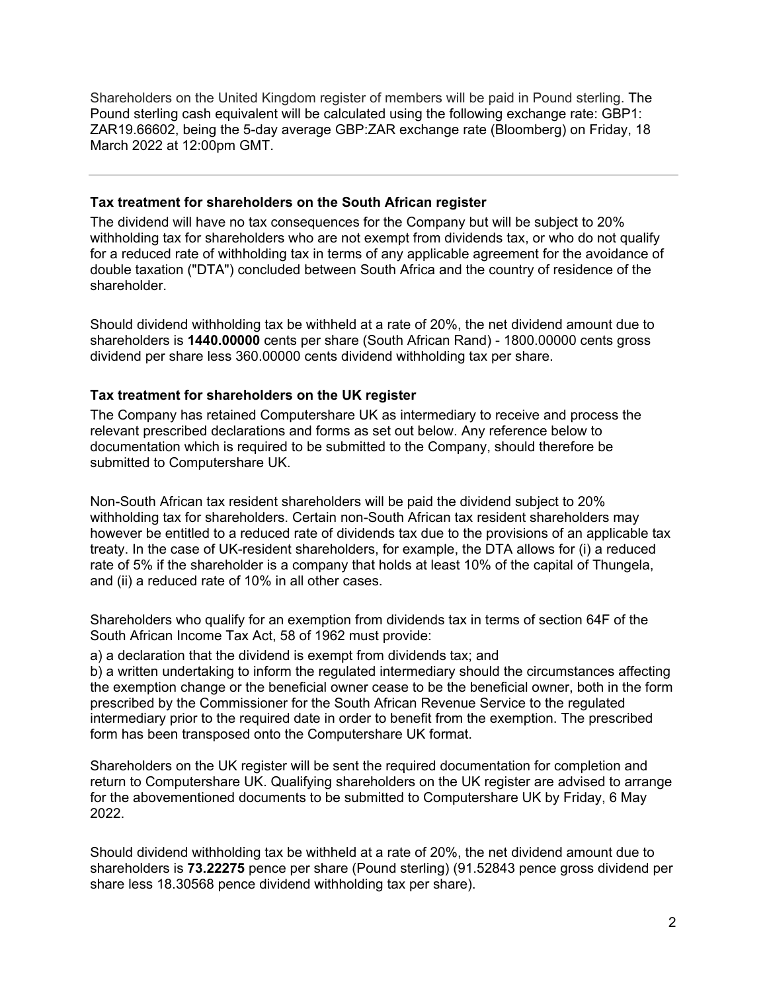Shareholders on the United Kingdom register of members will be paid in Pound sterling. The Pound sterling cash equivalent will be calculated using the following exchange rate: GBP1: ZAR19.66602, being the 5-day average GBP:ZAR exchange rate (Bloomberg) on Friday, 18 March 2022 at 12:00pm GMT.

#### **Tax treatment for shareholders on the South African register**

The dividend will have no tax consequences for the Company but will be subject to 20% withholding tax for shareholders who are not exempt from dividends tax, or who do not qualify for a reduced rate of withholding tax in terms of any applicable agreement for the avoidance of double taxation ("DTA") concluded between South Africa and the country of residence of the shareholder.

Should dividend withholding tax be withheld at a rate of 20%, the net dividend amount due to shareholders is **1440.00000** cents per share (South African Rand) - 1800.00000 cents gross dividend per share less 360.00000 cents dividend withholding tax per share.

#### **Tax treatment for shareholders on the UK register**

The Company has retained Computershare UK as intermediary to receive and process the relevant prescribed declarations and forms as set out below. Any reference below to documentation which is required to be submitted to the Company, should therefore be submitted to Computershare UK.

Non-South African tax resident shareholders will be paid the dividend subject to 20% withholding tax for shareholders. Certain non-South African tax resident shareholders may however be entitled to a reduced rate of dividends tax due to the provisions of an applicable tax treaty. In the case of UK-resident shareholders, for example, the DTA allows for (i) a reduced rate of 5% if the shareholder is a company that holds at least 10% of the capital of Thungela, and (ii) a reduced rate of 10% in all other cases.

Shareholders who qualify for an exemption from dividends tax in terms of section 64F of the South African Income Tax Act, 58 of 1962 must provide:

a) a declaration that the dividend is exempt from dividends tax; and

b) a written undertaking to inform the regulated intermediary should the circumstances affecting the exemption change or the beneficial owner cease to be the beneficial owner, both in the form prescribed by the Commissioner for the South African Revenue Service to the regulated intermediary prior to the required date in order to benefit from the exemption. The prescribed form has been transposed onto the Computershare UK format.

Shareholders on the UK register will be sent the required documentation for completion and return to Computershare UK. Qualifying shareholders on the UK register are advised to arrange for the abovementioned documents to be submitted to Computershare UK by Friday, 6 May 2022.

Should dividend withholding tax be withheld at a rate of 20%, the net dividend amount due to shareholders is **73.22275** pence per share (Pound sterling) (91.52843 pence gross dividend per share less 18.30568 pence dividend withholding tax per share).